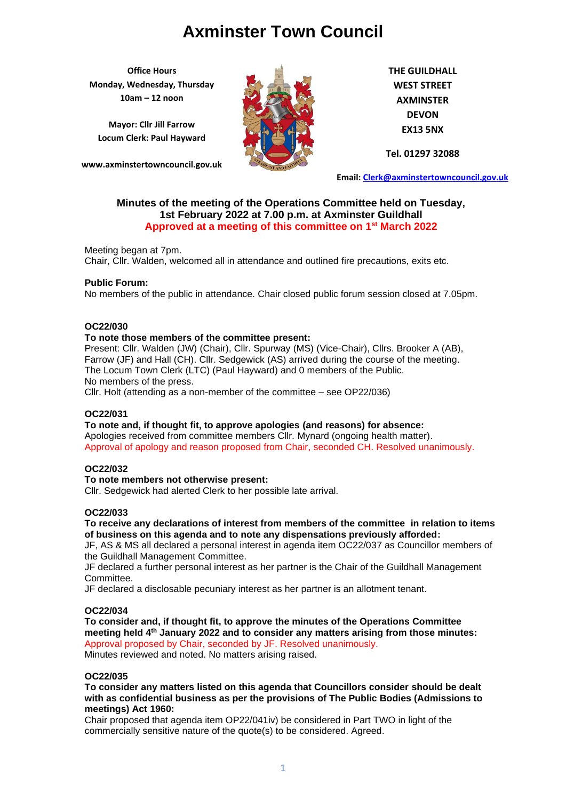**Office Hours Monday, Wednesday, Thursday 10am – 12 noon**

**Mayor: Cllr Jill Farrow Locum Clerk: Paul Hayward**

**www.axminstertowncouncil.gov.uk**



**THE GUILDHALL WEST STREET AXMINSTER DEVON EX13 5NX**

**Tel. 01297 32088**

**Email: [Clerk@axminstertowncouncil.gov.uk](file://///axm-svr-1/company/Templates/Clerk@axminstertowncouncil.gov.uk)**

## **Minutes of the meeting of the Operations Committee held on Tuesday, 1st February 2022 at 7.00 p.m. at Axminster Guildhall Approved at a meeting of this committee on 1st March 2022**

Chair, Cllr. Walden, welcomed all in attendance and outlined fire precautions, exits etc. Meeting began at 7pm.

## **Public Forum:**

No members of the public in attendance. Chair closed public forum session closed at 7.05pm.

## **OC22/030**

## **To note those members of the committee present:**

Present: Cllr. Walden (JW) (Chair), Cllr. Spurway (MS) (Vice-Chair), Cllrs. Brooker A (AB), Farrow (JF) and Hall (CH). Cllr. Sedgewick (AS) arrived during the course of the meeting. The Locum Town Clerk (LTC) (Paul Hayward) and 0 members of the Public. No members of the press.

Cllr. Holt (attending as a non-member of the committee – see OP22/036)

## **OC22/031**

**To note and, if thought fit, to approve apologies (and reasons) for absence:** Apologies received from committee members Cllr. Mynard (ongoing health matter). Approval of apology and reason proposed from Chair, seconded CH. Resolved unanimously.

## **OC22/032**

## **To note members not otherwise present:**

Cllr. Sedgewick had alerted Clerk to her possible late arrival.

## **OC22/033**

**To receive any declarations of interest from members of the committee in relation to items of business on this agenda and to note any dispensations previously afforded:**

JF, AS & MS all declared a personal interest in agenda item OC22/037 as Councillor members of the Guildhall Management Committee.

JF declared a further personal interest as her partner is the Chair of the Guildhall Management Committee.

JF declared a disclosable pecuniary interest as her partner is an allotment tenant.

## **OC22/034**

**To consider and, if thought fit, to approve the minutes of the Operations Committee meeting held 4 th January 2022 and to consider any matters arising from those minutes:** Approval proposed by Chair, seconded by JF. Resolved unanimously. Minutes reviewed and noted. No matters arising raised.

## **OC22/035**

**To consider any matters listed on this agenda that Councillors consider should be dealt with as confidential business as per the provisions of The Public Bodies (Admissions to meetings) Act 1960:**

Chair proposed that agenda item OP22/041iv) be considered in Part TWO in light of the commercially sensitive nature of the quote(s) to be considered. Agreed.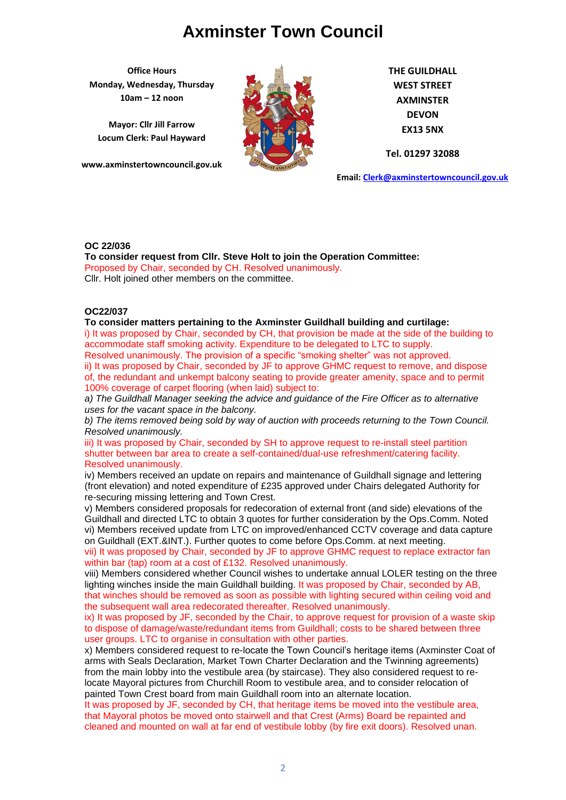**Office Hours Monday, Wednesday, Thursday 10am – 12 noon**

**Mayor: Cllr Jill Farrow Locum Clerk: Paul Hayward**

**www.axminstertowncouncil.gov.uk**



**THE GUILDHALL WEST STREET AXMINSTER DEVON EX13 5NX**

**Tel. 01297 32088**

**Email: [Clerk@axminstertowncouncil.gov.uk](file://///axm-svr-1/company/Templates/Clerk@axminstertowncouncil.gov.uk)**

## **OC 22/036**

**TEL: 01297 To consider request from Cllr. Steve Holt to join the Operation Committee:** Proposed by Chair, seconded by CH. Resolved unanimously. Cllr. Holt joined other members on the committee.

## **OC22/037**

#### **To consider matters pertaining to the Axminster Guildhall building and curtilage:**

i) It was proposed by Chair, seconded by CH, that provision be made at the side of the building to accommodate staff smoking activity. Expenditure to be delegated to LTC to supply. Resolved unanimously. The provision of a specific "smoking shelter" was not approved.

ii) It was proposed by Chair, seconded by JF to approve GHMC request to remove, and dispose of, the redundant and unkempt balcony seating to provide greater amenity, space and to permit 100% coverage of carpet flooring (when laid) subject to:

*a) The Guildhall Manager seeking the advice and guidance of the Fire Officer as to alternative uses for the vacant space in the balcony.*

*b) The items removed being sold by way of auction with proceeds returning to the Town Council. Resolved unanimously.*

iii) It was proposed by Chair, seconded by SH to approve request to re-install steel partition shutter between bar area to create a self-contained/dual-use refreshment/catering facility. Resolved unanimously.

iv) Members received an update on repairs and maintenance of Guildhall signage and lettering (front elevation) and noted expenditure of £235 approved under Chairs delegated Authority for re-securing missing lettering and Town Crest.

v) Members considered proposals for redecoration of external front (and side) elevations of the Guildhall and directed LTC to obtain 3 quotes for further consideration by the Ops.Comm. Noted vi) Members received update from LTC on improved/enhanced CCTV coverage and data capture on Guildhall (EXT.&INT.). Further quotes to come before Ops.Comm. at next meeting.

vii) It was proposed by Chair, seconded by JF to approve GHMC request to replace extractor fan within bar (tap) room at a cost of £132. Resolved unanimously.

viii) Members considered whether Council wishes to undertake annual LOLER testing on the three lighting winches inside the main Guildhall building. It was proposed by Chair, seconded by AB, that winches should be removed as soon as possible with lighting secured within ceiling void and the subsequent wall area redecorated thereafter. Resolved unanimously.

ix) It was proposed by JF, seconded by the Chair, to approve request for provision of a waste skip to dispose of damage/waste/redundant items from Guildhall; costs to be shared between three user groups. LTC to organise in consultation with other parties.

x) Members considered request to re-locate the Town Council's heritage items (Axminster Coat of arms with Seals Declaration, Market Town Charter Declaration and the Twinning agreements) from the main lobby into the vestibule area (by staircase). They also considered request to relocate Mayoral pictures from Churchill Room to vestibule area, and to consider relocation of painted Town Crest board from main Guildhall room into an alternate location.

It was proposed by JF, seconded by CH, that heritage items be moved into the vestibule area, that Mayoral photos be moved onto stairwell and that Crest (Arms) Board be repainted and cleaned and mounted on wall at far end of vestibule lobby (by fire exit doors). Resolved unan.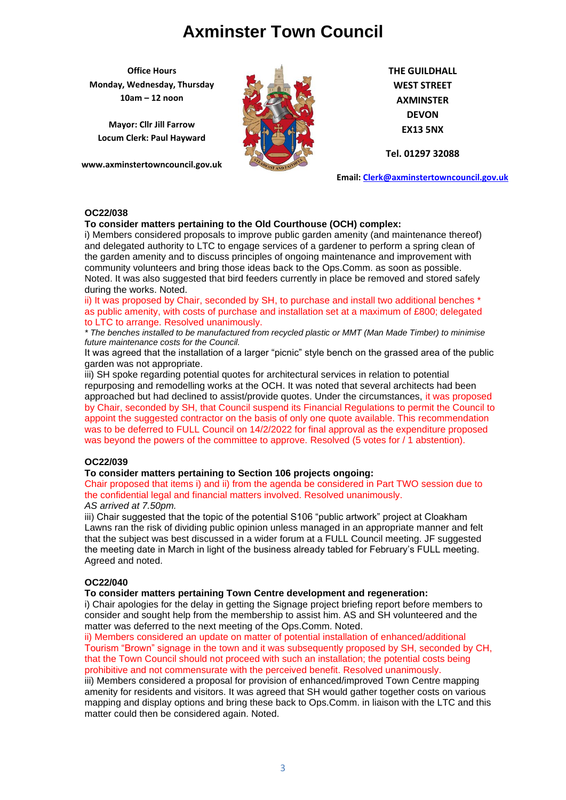**Office Hours Monday, Wednesday, Thursday 10am – 12 noon**

**Mayor: Cllr Jill Farrow Locum Clerk: Paul Hayward**

**www.axminstertowncouncil.gov.uk**



**THE GUILDHALL WEST STREET AXMINSTER DEVON EX13 5NX**

**Tel. 01297 32088**

**Email: [Clerk@axminstertowncouncil.gov.uk](file://///axm-svr-1/company/Templates/Clerk@axminstertowncouncil.gov.uk)**

## **OC22/038**

## **To consider matters pertaining to the Old Courthouse (OCH) complex:**

**TEL: 01297 32088** community volunteers and bring those ideas back to the Ops.Comm. as soon as possible. i) Members considered proposals to improve public garden amenity (and maintenance thereof) and delegated authority to LTC to engage services of a gardener to perform a spring clean of the garden amenity and to discuss principles of ongoing maintenance and improvement with Noted. It was also suggested that bird feeders currently in place be removed and stored safely during the works. Noted.

ii) It was proposed by Chair, seconded by SH, to purchase and install two additional benches \* as public amenity, with costs of purchase and installation set at a maximum of £800; delegated to LTC to arrange. Resolved unanimously.

*\* The benches installed to be manufactured from recycled plastic or MMT (Man Made Timber) to minimise future maintenance costs for the Council.*

It was agreed that the installation of a larger "picnic" style bench on the grassed area of the public garden was not appropriate.

iii) SH spoke regarding potential quotes for architectural services in relation to potential repurposing and remodelling works at the OCH. It was noted that several architects had been approached but had declined to assist/provide quotes. Under the circumstances, it was proposed by Chair, seconded by SH, that Council suspend its Financial Regulations to permit the Council to appoint the suggested contractor on the basis of only one quote available. This recommendation was to be deferred to FULL Council on 14/2/2022 for final approval as the expenditure proposed was beyond the powers of the committee to approve. Resolved (5 votes for / 1 abstention).

## **OC22/039**

## **To consider matters pertaining to Section 106 projects ongoing:**

Chair proposed that items i) and ii) from the agenda be considered in Part TWO session due to the confidential legal and financial matters involved. Resolved unanimously.

## *AS arrived at 7.50pm.*

iii) Chair suggested that the topic of the potential S106 "public artwork" project at Cloakham Lawns ran the risk of dividing public opinion unless managed in an appropriate manner and felt that the subject was best discussed in a wider forum at a FULL Council meeting. JF suggested the meeting date in March in light of the business already tabled for February's FULL meeting. Agreed and noted.

## **OC22/040**

## **To consider matters pertaining Town Centre development and regeneration:**

i) Chair apologies for the delay in getting the Signage project briefing report before members to consider and sought help from the membership to assist him. AS and SH volunteered and the matter was deferred to the next meeting of the Ops.Comm. Noted.

ii) Members considered an update on matter of potential installation of enhanced/additional Tourism "Brown" signage in the town and it was subsequently proposed by SH, seconded by CH, that the Town Council should not proceed with such an installation; the potential costs being prohibitive and not commensurate with the perceived benefit. Resolved unanimously.

iii) Members considered a proposal for provision of enhanced/improved Town Centre mapping amenity for residents and visitors. It was agreed that SH would gather together costs on various mapping and display options and bring these back to Ops.Comm. in liaison with the LTC and this matter could then be considered again. Noted.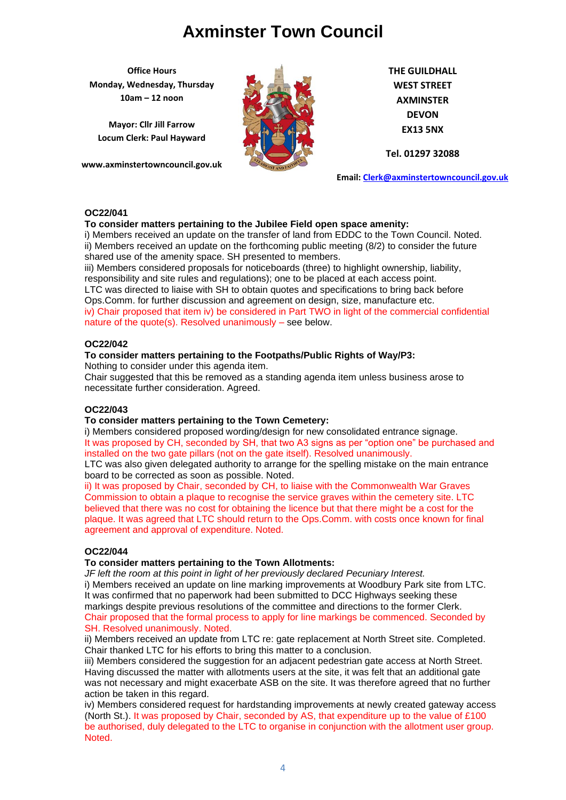**Office Hours Monday, Wednesday, Thursday 10am – 12 noon**

**Mayor: Cllr Jill Farrow Locum Clerk: Paul Hayward**

**www.axminstertowncouncil.gov.uk**



**THE GUILDHALL WEST STREET AXMINSTER DEVON EX13 5NX**

**Tel. 01297 32088**

**Email: [Clerk@axminstertowncouncil.gov.uk](file://///axm-svr-1/company/Templates/Clerk@axminstertowncouncil.gov.uk)**

## **OC22/041**

## **To consider matters pertaining to the Jubilee Field open space amenity:**

i) Members received an update on the transfer of land from EDDC to the Town Council. Noted. ii) Members received an update on the forthcoming public meeting (8/2) to consider the future shared use of the amenity space. SH presented to members.

**TEL: 01297 32088** iii) Members considered proposals for noticeboards (three) to highlight ownership, liability, responsibility and site rules and regulations); one to be placed at each access point.

LTC was directed to liaise with SH to obtain quotes and specifications to bring back before Ops.Comm. for further discussion and agreement on design, size, manufacture etc.

iv) Chair proposed that item iv) be considered in Part TWO in light of the commercial confidential nature of the quote(s). Resolved unanimously – see below.

## **OC22/042**

## **To consider matters pertaining to the Footpaths/Public Rights of Way/P3:**

Nothing to consider under this agenda item.

Chair suggested that this be removed as a standing agenda item unless business arose to necessitate further consideration. Agreed.

## **OC22/043**

## **To consider matters pertaining to the Town Cemetery:**

i) Members considered proposed wording/design for new consolidated entrance signage. It was proposed by CH, seconded by SH, that two A3 signs as per "option one" be purchased and installed on the two gate pillars (not on the gate itself). Resolved unanimously.

LTC was also given delegated authority to arrange for the spelling mistake on the main entrance board to be corrected as soon as possible. Noted.

ii) It was proposed by Chair, seconded by CH, to liaise with the Commonwealth War Graves Commission to obtain a plaque to recognise the service graves within the cemetery site. LTC believed that there was no cost for obtaining the licence but that there might be a cost for the plaque. It was agreed that LTC should return to the Ops.Comm. with costs once known for final agreement and approval of expenditure. Noted.

## **OC22/044**

## **To consider matters pertaining to the Town Allotments:**

*JF left the room at this point in light of her previously declared Pecuniary Interest.* i) Members received an update on line marking improvements at Woodbury Park site from LTC. It was confirmed that no paperwork had been submitted to DCC Highways seeking these markings despite previous resolutions of the committee and directions to the former Clerk. Chair proposed that the formal process to apply for line markings be commenced. Seconded by SH. Resolved unanimously. Noted.

ii) Members received an update from LTC re: gate replacement at North Street site. Completed. Chair thanked LTC for his efforts to bring this matter to a conclusion.

iii) Members considered the suggestion for an adjacent pedestrian gate access at North Street. Having discussed the matter with allotments users at the site, it was felt that an additional gate was not necessary and might exacerbate ASB on the site. It was therefore agreed that no further action be taken in this regard.

iv) Members considered request for hardstanding improvements at newly created gateway access (North St.). It was proposed by Chair, seconded by AS, that expenditure up to the value of £100 be authorised, duly delegated to the LTC to organise in conjunction with the allotment user group. Noted.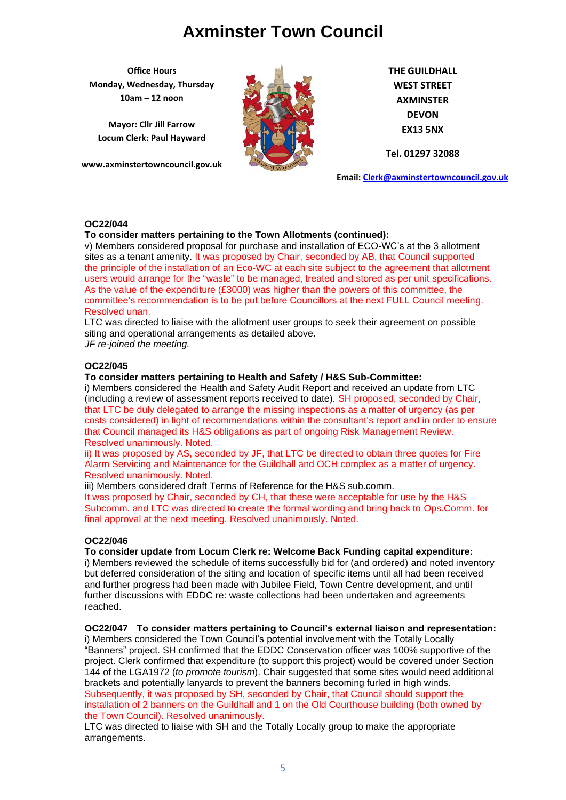**Office Hours Monday, Wednesday, Thursday 10am – 12 noon**

**Mayor: Cllr Jill Farrow Locum Clerk: Paul Hayward**

**www.axminstertowncouncil.gov.uk**



**THE GUILDHALL WEST STREET AXMINSTER DEVON EX13 5NX**

**Tel. 01297 32088**

**Email: [Clerk@axminstertowncouncil.gov.uk](file://///axm-svr-1/company/Templates/Clerk@axminstertowncouncil.gov.uk)**

## **OC22/044**

## **To consider matters pertaining to the Town Allotments (continued):**

the principle of the installation of an Eco-WC at each site subject to the agreement that allotment v) Members considered proposal for purchase and installation of ECO-WC's at the 3 allotment sites as a tenant amenity. It was proposed by Chair, seconded by AB, that Council supported users would arrange for the "waste" to be managed, treated and stored as per unit specifications. As the value of the expenditure (£3000) was higher than the powers of this committee, the committee's recommendation is to be put before Councillors at the next FULL Council meeting. Resolved unan.

LTC was directed to liaise with the allotment user groups to seek their agreement on possible siting and operational arrangements as detailed above.

*JF re-joined the meeting.*

## **OC22/045**

#### **To consider matters pertaining to Health and Safety / H&S Sub-Committee:**

i) Members considered the Health and Safety Audit Report and received an update from LTC (including a review of assessment reports received to date). SH proposed, seconded by Chair, that LTC be duly delegated to arrange the missing inspections as a matter of urgency (as per costs considered) in light of recommendations within the consultant's report and in order to ensure that Council managed its H&S obligations as part of ongoing Risk Management Review. Resolved unanimously. Noted.

ii) It was proposed by AS, seconded by JF, that LTC be directed to obtain three quotes for Fire Alarm Servicing and Maintenance for the Guildhall and OCH complex as a matter of urgency. Resolved unanimously. Noted.

iii) Members considered draft Terms of Reference for the H&S sub.comm.

It was proposed by Chair, seconded by CH, that these were acceptable for use by the H&S Subcomm. and LTC was directed to create the formal wording and bring back to Ops.Comm. for final approval at the next meeting. Resolved unanimously. Noted.

## **OC22/046**

#### **To consider update from Locum Clerk re: Welcome Back Funding capital expenditure:**

i) Members reviewed the schedule of items successfully bid for (and ordered) and noted inventory but deferred consideration of the siting and location of specific items until all had been received and further progress had been made with Jubilee Field, Town Centre development, and until further discussions with EDDC re: waste collections had been undertaken and agreements reached.

# **OC22/047 To consider matters pertaining to Council's external liaison and representation:**

i) Members considered the Town Council's potential involvement with the Totally Locally "Banners" project. SH confirmed that the EDDC Conservation officer was 100% supportive of the project. Clerk confirmed that expenditure (to support this project) would be covered under Section 144 of the LGA1972 (*to promote tourism*). Chair suggested that some sites would need additional brackets and potentially lanyards to prevent the banners becoming furled in high winds. Subsequently, it was proposed by SH, seconded by Chair, that Council should support the installation of 2 banners on the Guildhall and 1 on the Old Courthouse building (both owned by the Town Council). Resolved unanimously.

LTC was directed to liaise with SH and the Totally Locally group to make the appropriate arrangements.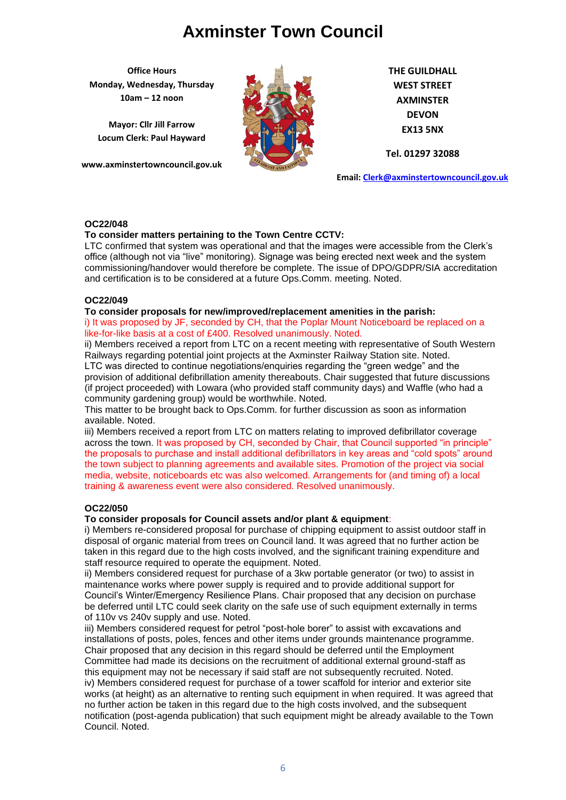**Office Hours Monday, Wednesday, Thursday 10am – 12 noon**

**Mayor: Cllr Jill Farrow Locum Clerk: Paul Hayward**

**www.axminstertowncouncil.gov.uk**



**THE GUILDHALL WEST STREET AXMINSTER DEVON EX13 5NX**

**Tel. 01297 32088**

**Email: [Clerk@axminstertowncouncil.gov.uk](file://///axm-svr-1/company/Templates/Clerk@axminstertowncouncil.gov.uk)**

## **OC22/048**

## **To consider matters pertaining to the Town Centre CCTV:**

**TEL: 01297 32088** commissioning/handover would therefore be complete. The issue of DPO/GDPR/SIA accreditation LTC confirmed that system was operational and that the images were accessible from the Clerk's office (although not via "live" monitoring). Signage was being erected next week and the system and certification is to be considered at a future Ops.Comm. meeting. Noted.

## **OC22/049**

## **To consider proposals for new/improved/replacement amenities in the parish:**

i) It was proposed by JF, seconded by CH, that the Poplar Mount Noticeboard be replaced on a like-for-like basis at a cost of £400. Resolved unanimously. Noted.

ii) Members received a report from LTC on a recent meeting with representative of South Western Railways regarding potential joint projects at the Axminster Railway Station site. Noted. LTC was directed to continue negotiations/enquiries regarding the "green wedge" and the provision of additional defibrillation amenity thereabouts. Chair suggested that future discussions (if project proceeded) with Lowara (who provided staff community days) and Waffle (who had a community gardening group) would be worthwhile. Noted.

This matter to be brought back to Ops.Comm. for further discussion as soon as information available. Noted.

iii) Members received a report from LTC on matters relating to improved defibrillator coverage across the town. It was proposed by CH, seconded by Chair, that Council supported "in principle" the proposals to purchase and install additional defibrillators in key areas and "cold spots" around the town subject to planning agreements and available sites. Promotion of the project via social media, website, noticeboards etc was also welcomed. Arrangements for (and timing of) a local training & awareness event were also considered. Resolved unanimously.

## **OC22/050**

## **To consider proposals for Council assets and/or plant & equipment**:

i) Members re-considered proposal for purchase of chipping equipment to assist outdoor staff in disposal of organic material from trees on Council land. It was agreed that no further action be taken in this regard due to the high costs involved, and the significant training expenditure and staff resource required to operate the equipment. Noted.

ii) Members considered request for purchase of a 3kw portable generator (or two) to assist in maintenance works where power supply is required and to provide additional support for Council's Winter/Emergency Resilience Plans. Chair proposed that any decision on purchase be deferred until LTC could seek clarity on the safe use of such equipment externally in terms of 110v vs 240v supply and use. Noted.

iii) Members considered request for petrol "post-hole borer" to assist with excavations and installations of posts, poles, fences and other items under grounds maintenance programme. Chair proposed that any decision in this regard should be deferred until the Employment Committee had made its decisions on the recruitment of additional external ground-staff as this equipment may not be necessary if said staff are not subsequently recruited. Noted. iv) Members considered request for purchase of a tower scaffold for interior and exterior site works (at height) as an alternative to renting such equipment in when required. It was agreed that no further action be taken in this regard due to the high costs involved, and the subsequent notification (post-agenda publication) that such equipment might be already available to the Town Council. Noted.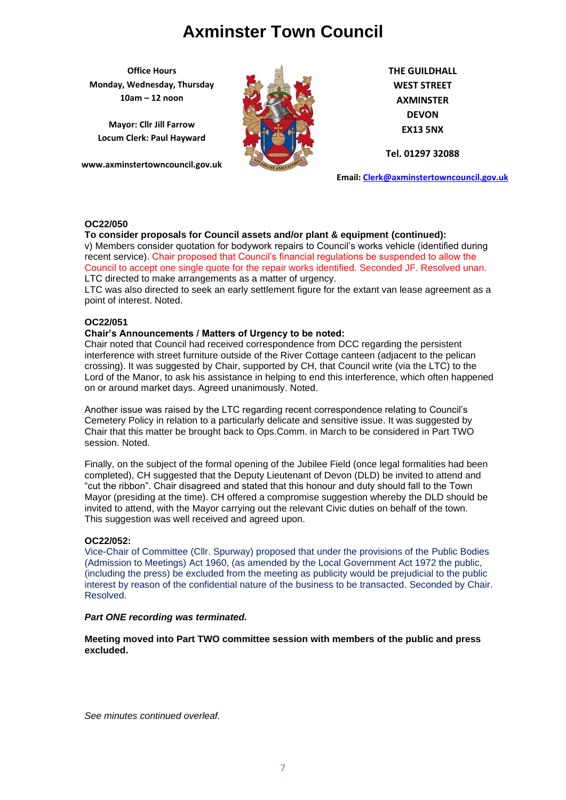**Office Hours Monday, Wednesday, Thursday 10am – 12 noon**

**Mayor: Cllr Jill Farrow Locum Clerk: Paul Hayward**

**www.axminstertowncouncil.gov.uk**



**THE GUILDHALL WEST STREET AXMINSTER DEVON EX13 5NX**

**Tel. 01297 32088**

**Email: [Clerk@axminstertowncouncil.gov.uk](file://///axm-svr-1/company/Templates/Clerk@axminstertowncouncil.gov.uk)**

## **OC22/050**

## **To consider proposals for Council assets and/or plant & equipment (continued):**

**TEL: 01297 32088** Council to accept one single quote for the repair works identified. Seconded JF. Resolved unan. v) Members consider quotation for bodywork repairs to Council's works vehicle (identified during recent service). Chair proposed that Council's financial regulations be suspended to allow the LTC directed to make arrangements as a matter of urgency.

LTC was also directed to seek an early settlement figure for the extant van lease agreement as a point of interest. Noted.

## **OC22/051**

#### **Chair's Announcements / Matters of Urgency to be noted:**

Chair noted that Council had received correspondence from DCC regarding the persistent interference with street furniture outside of the River Cottage canteen (adjacent to the pelican crossing). It was suggested by Chair, supported by CH, that Council write (via the LTC) to the Lord of the Manor, to ask his assistance in helping to end this interference, which often happened on or around market days. Agreed unanimously. Noted.

Another issue was raised by the LTC regarding recent correspondence relating to Council's Cemetery Policy in relation to a particularly delicate and sensitive issue. It was suggested by Chair that this matter be brought back to Ops.Comm. in March to be considered in Part TWO session. Noted.

Finally, on the subject of the formal opening of the Jubilee Field (once legal formalities had been completed), CH suggested that the Deputy Lieutenant of Devon (DLD) be invited to attend and "cut the ribbon". Chair disagreed and stated that this honour and duty should fall to the Town Mayor (presiding at the time). CH offered a compromise suggestion whereby the DLD should be invited to attend, with the Mayor carrying out the relevant Civic duties on behalf of the town. This suggestion was well received and agreed upon.

## **OC22/052:**

Vice-Chair of Committee (Cllr. Spurway) proposed that under the provisions of the Public Bodies (Admission to Meetings) Act 1960, (as amended by the Local Government Act 1972 the public, (including the press) be excluded from the meeting as publicity would be prejudicial to the public interest by reason of the confidential nature of the business to be transacted. Seconded by Chair. Resolved.

#### *Part ONE recording was terminated.*

**Meeting moved into Part TWO committee session with members of the public and press excluded.**

*See minutes continued overleaf.*